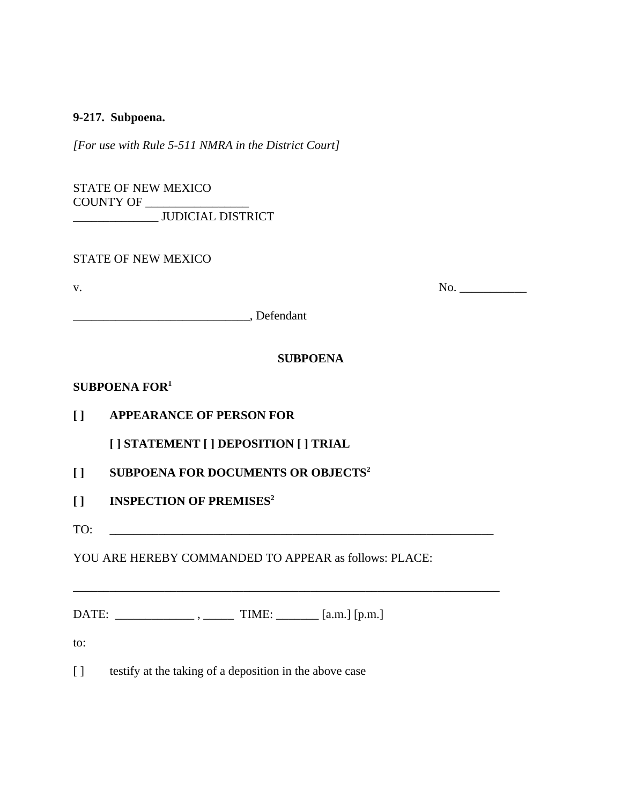#### **9-217. Subpoena.**

*[For use with Rule 5-511 NMRA in the District Court]*

STATE OF NEW MEXICO COUNTY OF \_\_\_\_\_\_\_\_\_\_\_\_\_\_\_\_\_ \_\_\_\_\_\_\_\_\_\_\_\_\_\_ JUDICIAL DISTRICT

| <b>STATE OF NEW MEXICO</b> |  |
|----------------------------|--|
|----------------------------|--|

v. No. \_\_\_\_\_\_\_\_\_\_\_

\_\_\_\_\_\_\_\_\_\_\_\_\_\_\_\_\_\_\_\_\_\_\_\_\_\_\_\_\_, Defendant

# **SUBPOENA**

### **SUBPOENA FOR1**

**[ ] APPEARANCE OF PERSON FOR**

**[ ] STATEMENT [ ] DEPOSITION [ ] TRIAL** 

- **[ ] SUBPOENA FOR DOCUMENTS OR OBJECTS2**
- **[ ] INSPECTION OF PREMISES2**
- TO:

YOU ARE HEREBY COMMANDED TO APPEAR as follows: PLACE:

\_\_\_\_\_\_\_\_\_\_\_\_\_\_\_\_\_\_\_\_\_\_\_\_\_\_\_\_\_\_\_\_\_\_\_\_\_\_\_\_\_\_\_\_\_\_\_\_\_\_\_\_\_\_\_\_\_\_\_\_\_\_\_\_\_\_\_\_\_\_

DATE:  $\qquad \qquad$  ,  $\qquad \qquad$  TIME:  $\qquad \qquad$  [a.m.] [p.m.]

to:

[ ] testify at the taking of a deposition in the above case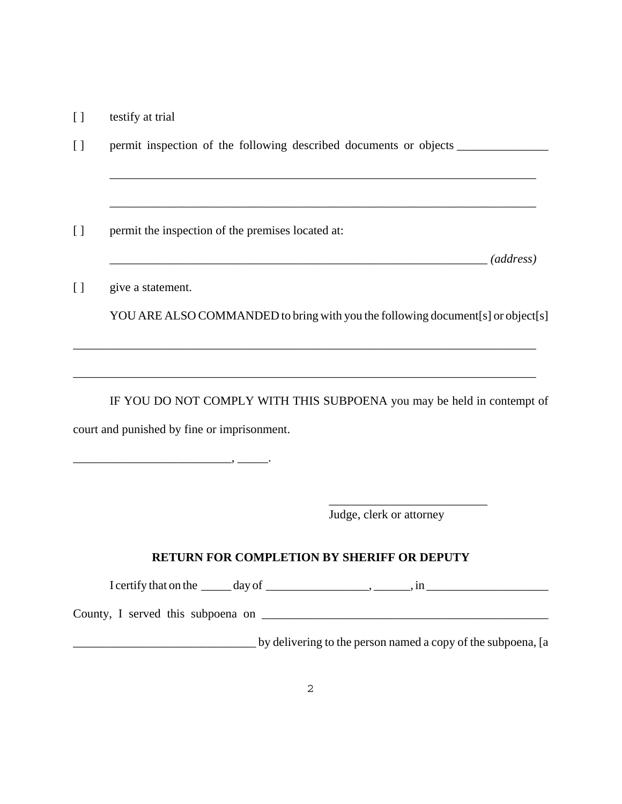[ ] testify at trial

[ ] permit inspection of the following described documents or objects \_\_\_\_\_\_\_\_\_\_\_\_\_\_\_\_\_ \_\_\_\_\_\_\_\_\_\_\_\_\_\_\_\_\_\_\_\_\_\_\_\_\_\_\_\_\_\_\_\_\_\_\_\_\_\_\_\_\_\_\_\_\_\_\_\_\_\_\_\_\_\_\_\_\_\_\_\_\_\_\_\_\_\_\_\_\_\_ \_\_\_\_\_\_\_\_\_\_\_\_\_\_\_\_\_\_\_\_\_\_\_\_\_\_\_\_\_\_\_\_\_\_\_\_\_\_\_\_\_\_\_\_\_\_\_\_\_\_\_\_\_\_\_\_\_\_\_\_\_\_\_\_\_\_\_\_\_\_ [ ] permit the inspection of the premises located at: \_\_\_\_\_\_\_\_\_\_\_\_\_\_\_\_\_\_\_\_\_\_\_\_\_\_\_\_\_\_\_\_\_\_\_\_\_\_\_\_\_\_\_\_\_\_\_\_\_\_\_\_\_\_\_\_\_\_\_\_\_\_ *(address)* [ ] give a statement. YOU ARE ALSO COMMANDED to bring with you the following document[s] or object[s] \_\_\_\_\_\_\_\_\_\_\_\_\_\_\_\_\_\_\_\_\_\_\_\_\_\_\_\_\_\_\_\_\_\_\_\_\_\_\_\_\_\_\_\_\_\_\_\_\_\_\_\_\_\_\_\_\_\_\_\_\_\_\_\_\_\_\_\_\_\_\_\_\_\_\_\_

IF YOU DO NOT COMPLY WITH THIS SUBPOENA you may be held in contempt of court and punished by fine or imprisonment.

\_\_\_\_\_\_\_\_\_\_\_\_\_\_\_\_\_\_\_\_\_\_\_\_\_\_\_\_\_\_\_\_\_\_\_\_\_\_\_\_\_\_\_\_\_\_\_\_\_\_\_\_\_\_\_\_\_\_\_\_\_\_\_\_\_\_\_\_\_\_\_\_\_\_\_\_

Judge, clerk or attorney

## **RETURN FOR COMPLETION BY SHERIFF OR DEPUTY**

I certify that on the  $\_\_\_\_\_\$  day of  $\_\_\_\_\_\_\_\_\_\_\_$ ,  $\_\_\_\_\_\_$ , in  $\_\_\_\_\_\_\_\_\_$ 

 $\frac{1}{2}$  , and the set of the set of the set of the set of the set of the set of the set of the set of the set of the set of the set of the set of the set of the set of the set of the set of the set of the set of the set

County, I served this subpoena on \_\_\_\_\_\_\_\_\_\_\_\_\_\_\_\_\_\_\_\_\_\_\_\_\_\_\_\_\_\_\_\_\_\_\_\_\_\_\_\_\_\_\_\_\_\_\_

 $\overline{\phantom{a}}$  ,  $\overline{\phantom{a}}$  ,  $\overline{\phantom{a}}$ 

\_\_\_\_\_\_\_\_\_\_\_\_\_\_\_\_\_\_\_\_\_\_\_\_\_\_\_\_\_\_ by delivering to the person named a copy of the subpoena, [a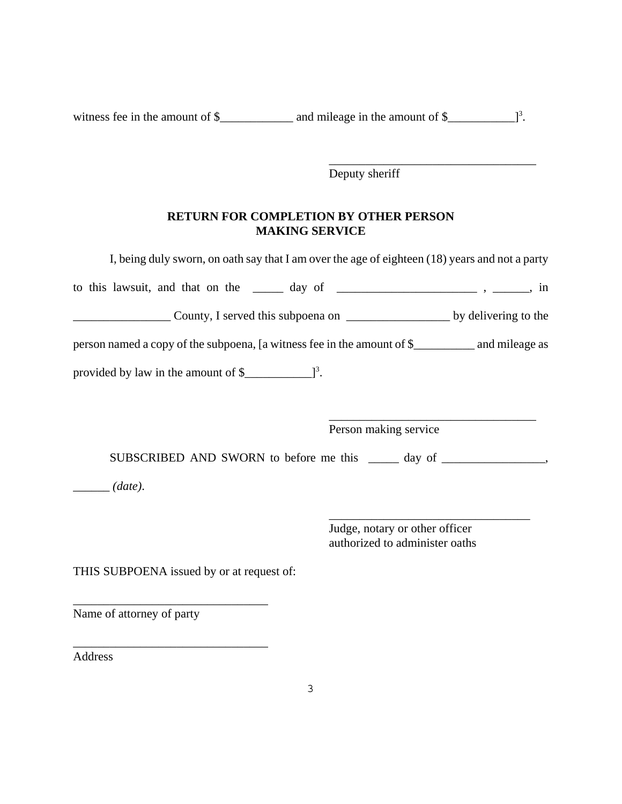witness fee in the amount of  $\frac{1}{2}$  and mileage in the amount of  $\frac{1}{2}$ .

Deputy sheriff

\_\_\_\_\_\_\_\_\_\_\_\_\_\_\_\_\_\_\_\_\_\_\_\_\_\_\_\_\_\_\_\_\_\_

### **RETURN FOR COMPLETION BY OTHER PERSON MAKING SERVICE**

|                                                                                                   | I, being duly sworn, on oath say that I am over the age of eighteen (18) years and not a party |
|---------------------------------------------------------------------------------------------------|------------------------------------------------------------------------------------------------|
| to this lawsuit, and that on the ______ day of _______________________________, in                |                                                                                                |
|                                                                                                   |                                                                                                |
| person named a copy of the subpoena, [a witness fee in the amount of \$___________ and mileage as |                                                                                                |
| provided by law in the amount of $\frac{1}{2}$ $\frac{3}{2}$ .                                    |                                                                                                |
|                                                                                                   | Person making service                                                                          |
|                                                                                                   | SUBSCRIBED AND SWORN to before me this ______ day of ____________________________              |
| $\_\_\_\_$ (date).                                                                                |                                                                                                |
|                                                                                                   | Judge, notary or other officer<br>authorized to administer oaths                               |
| THIS SUBPOENA issued by or at request of:                                                         |                                                                                                |
| Name of attorney of party                                                                         |                                                                                                |
| Address                                                                                           |                                                                                                |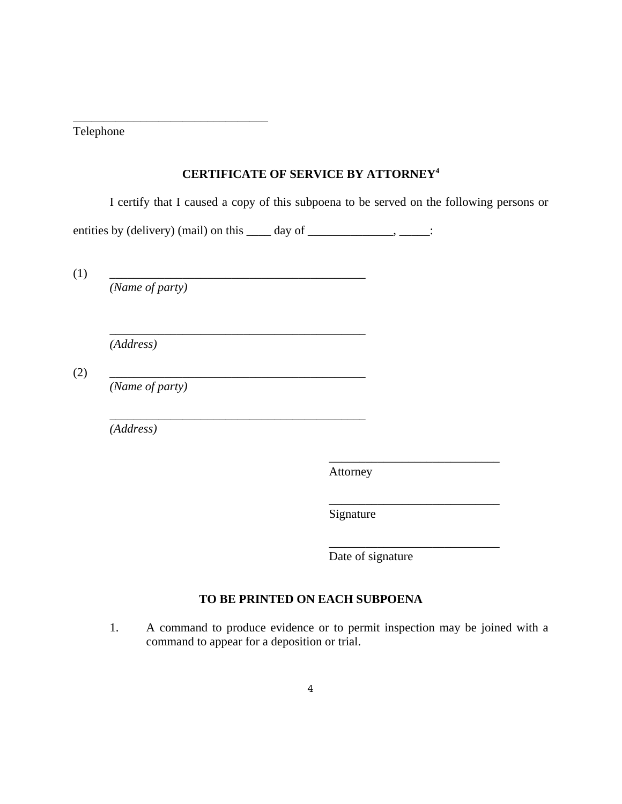Telephone

## **CERTIFICATE OF SERVICE BY ATTORNEY4**

I certify that I caused a copy of this subpoena to be served on the following persons or

entities by (delivery) (mail) on this  $\_\_\_\_$  day of  $\_\_\_\_\_\_\_\_\_\_\_\_\_\_\_\_\_\_\_$ .

\_\_\_\_\_\_\_\_\_\_\_\_\_\_\_\_\_\_\_\_\_\_\_\_\_\_\_\_\_\_\_\_\_\_\_\_\_\_\_\_\_\_

\_\_\_\_\_\_\_\_\_\_\_\_\_\_\_\_\_\_\_\_\_\_\_\_\_\_\_\_\_\_\_\_\_\_\_\_\_\_\_\_\_\_

 $(1)$   $\qquad \qquad$ 

*(Name of party)*

\_\_\_\_\_\_\_\_\_\_\_\_\_\_\_\_\_\_\_\_\_\_\_\_\_\_\_\_\_\_\_\_

*(Address)*

(2) \_\_\_\_\_\_\_\_\_\_\_\_\_\_\_\_\_\_\_\_\_\_\_\_\_\_\_\_\_\_\_\_\_\_\_\_\_\_\_\_\_\_

*(Name of party)*

*(Address)*

Attorney

Signature

Date of signature

\_\_\_\_\_\_\_\_\_\_\_\_\_\_\_\_\_\_\_\_\_\_\_\_\_\_\_\_

\_\_\_\_\_\_\_\_\_\_\_\_\_\_\_\_\_\_\_\_\_\_\_\_\_\_\_\_

\_\_\_\_\_\_\_\_\_\_\_\_\_\_\_\_\_\_\_\_\_\_\_\_\_\_\_\_

## **TO BE PRINTED ON EACH SUBPOENA**

1. A command to produce evidence or to permit inspection may be joined with a command to appear for a deposition or trial.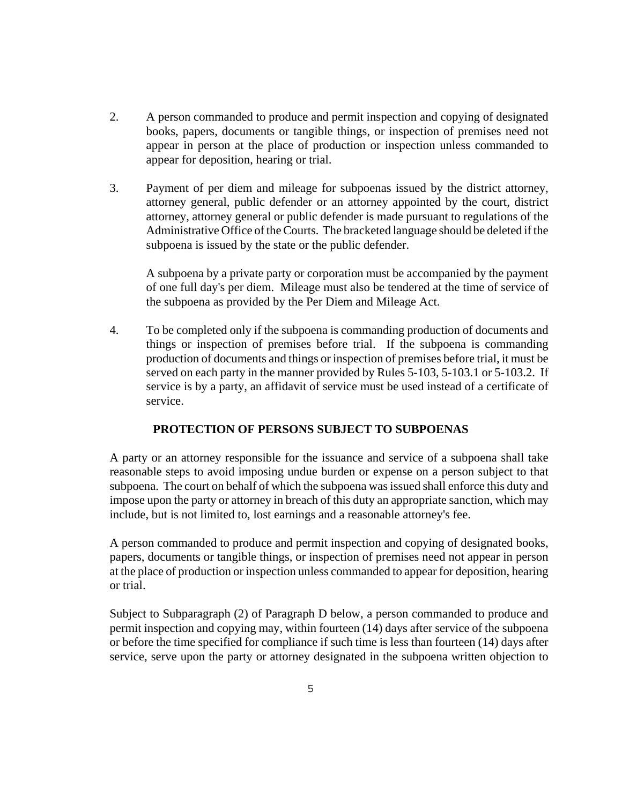- 2. A person commanded to produce and permit inspection and copying of designated books, papers, documents or tangible things, or inspection of premises need not appear in person at the place of production or inspection unless commanded to appear for deposition, hearing or trial.
- 3. Payment of per diem and mileage for subpoenas issued by the district attorney, attorney general, public defender or an attorney appointed by the court, district attorney, attorney general or public defender is made pursuant to regulations of the Administrative Office of the Courts. The bracketed language should be deleted if the subpoena is issued by the state or the public defender.

A subpoena by a private party or corporation must be accompanied by the payment of one full day's per diem. Mileage must also be tendered at the time of service of the subpoena as provided by the Per Diem and Mileage Act.

4. To be completed only if the subpoena is commanding production of documents and things or inspection of premises before trial. If the subpoena is commanding production of documents and things or inspection of premises before trial, it must be served on each party in the manner provided by Rules 5-103, 5-103.1 or 5-103.2. If service is by a party, an affidavit of service must be used instead of a certificate of service.

#### **PROTECTION OF PERSONS SUBJECT TO SUBPOENAS**

A party or an attorney responsible for the issuance and service of a subpoena shall take reasonable steps to avoid imposing undue burden or expense on a person subject to that subpoena. The court on behalf of which the subpoena was issued shall enforce this duty and impose upon the party or attorney in breach of this duty an appropriate sanction, which may include, but is not limited to, lost earnings and a reasonable attorney's fee.

A person commanded to produce and permit inspection and copying of designated books, papers, documents or tangible things, or inspection of premises need not appear in person at the place of production or inspection unless commanded to appear for deposition, hearing or trial.

Subject to Subparagraph (2) of Paragraph D below, a person commanded to produce and permit inspection and copying may, within fourteen (14) days after service of the subpoena or before the time specified for compliance if such time is less than fourteen (14) days after service, serve upon the party or attorney designated in the subpoena written objection to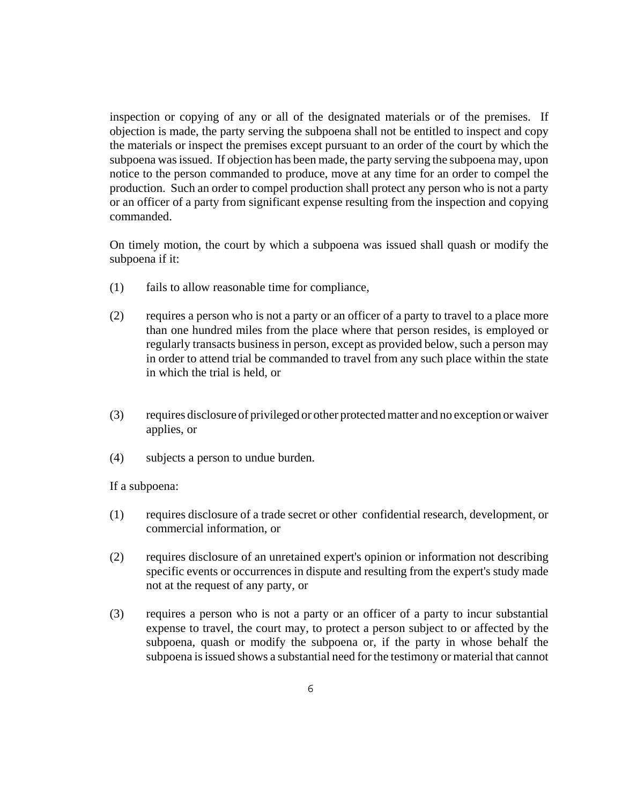inspection or copying of any or all of the designated materials or of the premises. If objection is made, the party serving the subpoena shall not be entitled to inspect and copy the materials or inspect the premises except pursuant to an order of the court by which the subpoena was issued. If objection has been made, the party serving the subpoena may, upon notice to the person commanded to produce, move at any time for an order to compel the production. Such an order to compel production shall protect any person who is not a party or an officer of a party from significant expense resulting from the inspection and copying commanded.

On timely motion, the court by which a subpoena was issued shall quash or modify the subpoena if it:

- (1) fails to allow reasonable time for compliance,
- (2) requires a person who is not a party or an officer of a party to travel to a place more than one hundred miles from the place where that person resides, is employed or regularly transacts business in person, except as provided below, such a person may in order to attend trial be commanded to travel from any such place within the state in which the trial is held, or
- (3) requires disclosure of privileged or other protected matter and no exception or waiver applies, or
- (4) subjects a person to undue burden.

If a subpoena:

- (1) requires disclosure of a trade secret or other confidential research, development, or commercial information, or
- (2) requires disclosure of an unretained expert's opinion or information not describing specific events or occurrences in dispute and resulting from the expert's study made not at the request of any party, or
- (3) requires a person who is not a party or an officer of a party to incur substantial expense to travel, the court may, to protect a person subject to or affected by the subpoena, quash or modify the subpoena or, if the party in whose behalf the subpoena is issued shows a substantial need for the testimony or material that cannot